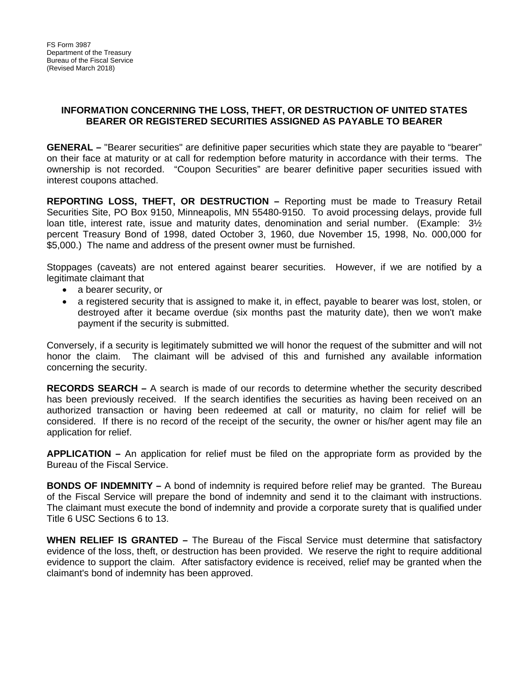## **INFORMATION CONCERNING THE LOSS, THEFT, OR DESTRUCTION OF UNITED STATES BEARER OR REGISTERED SECURITIES ASSIGNED AS PAYABLE TO BEARER**

**GENERAL –** "Bearer securities" are definitive paper securities which state they are payable to "bearer" on their face at maturity or at call for redemption before maturity in accordance with their terms. The ownership is not recorded. "Coupon Securities" are bearer definitive paper securities issued with interest coupons attached.

**REPORTING LOSS, THEFT, OR DESTRUCTION –** Reporting must be made to Treasury Retail Securities Site, PO Box 9150, Minneapolis, MN 55480-9150. To avoid processing delays, provide full loan title, interest rate, issue and maturity dates, denomination and serial number. (Example: 3½ percent Treasury Bond of 1998, dated October 3, 1960, due November 15, 1998, No. 000,000 for \$5,000.) The name and address of the present owner must be furnished.

Stoppages (caveats) are not entered against bearer securities. However, if we are notified by a legitimate claimant that

- a bearer security, or
- a registered security that is assigned to make it, in effect, payable to bearer was lost, stolen, or destroyed after it became overdue (six months past the maturity date), then we won't make payment if the security is submitted.

Conversely, if a security is legitimately submitted we will honor the request of the submitter and will not honor the claim. The claimant will be advised of this and furnished any available information concerning the security.

**RECORDS SEARCH –** A search is made of our records to determine whether the security described has been previously received. If the search identifies the securities as having been received on an authorized transaction or having been redeemed at call or maturity, no claim for relief will be considered. If there is no record of the receipt of the security, the owner or his/her agent may file an application for relief.

**APPLICATION –** An application for relief must be filed on the appropriate form as provided by the Bureau of the Fiscal Service.

**BONDS OF INDEMNITY –** A bond of indemnity is required before relief may be granted. The Bureau of the Fiscal Service will prepare the bond of indemnity and send it to the claimant with instructions. The claimant must execute the bond of indemnity and provide a corporate surety that is qualified under Title 6 USC Sections 6 to 13.

**WHEN RELIEF IS GRANTED –** The Bureau of the Fiscal Service must determine that satisfactory evidence of the loss, theft, or destruction has been provided. We reserve the right to require additional evidence to support the claim. After satisfactory evidence is received, relief may be granted when the claimant's bond of indemnity has been approved.